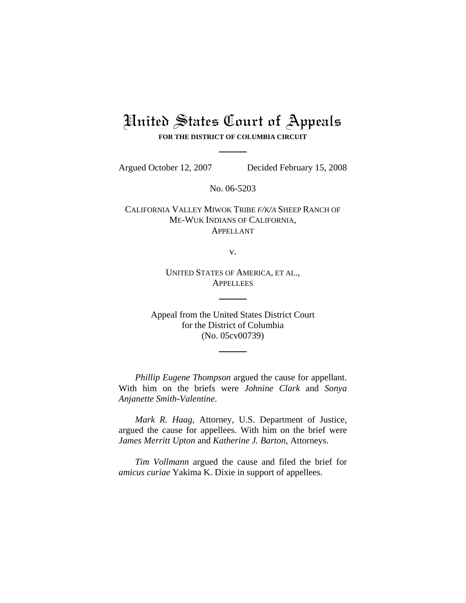## United States Court of Appeals

**FOR THE DISTRICT OF COLUMBIA CIRCUIT**

Argued October 12, 2007 Decided February 15, 2008

No. 06-5203

CALIFORNIA VALLEY MIWOK TRIBE *F/K/A* SHEEP RANCH OF ME-WUK INDIANS OF CALIFORNIA, APPELLANT

v.

UNITED STATES OF AMERICA, ET AL., **APPELLEES** 

Appeal from the United States District Court for the District of Columbia (No. 05cv00739)

*Phillip Eugene Thompson* argued the cause for appellant. With him on the briefs were *Johnine Clark* and *Sonya Anjanette Smith-Valentine*.

*Mark R. Haag*, Attorney, U.S. Department of Justice, argued the cause for appellees. With him on the brief were *James Merritt Upton* and *Katherine J. Barton*, Attorneys.

*Tim Vollmann* argued the cause and filed the brief for *amicus curiae* Yakima K. Dixie in support of appellees.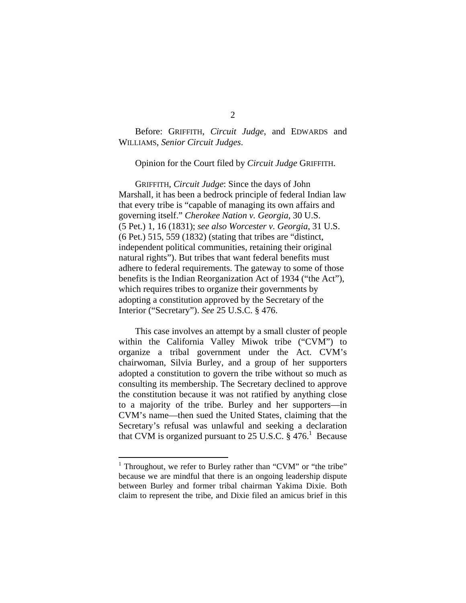Before: GRIFFITH, *Circuit Judge*, and EDWARDS and WILLIAMS, *Senior Circuit Judges*.

Opinion for the Court filed by *Circuit Judge* GRIFFITH.

GRIFFITH, *Circuit Judge*: Since the days of John Marshall, it has been a bedrock principle of federal Indian law that every tribe is "capable of managing its own affairs and governing itself." *Cherokee Nation v. Georgia*, 30 U.S. (5 Pet.) 1, 16 (1831); *see also Worcester v. Georgia*, 31 U.S. (6 Pet.) 515, 559 (1832) (stating that tribes are "distinct, independent political communities, retaining their original natural rights"). But tribes that want federal benefits must adhere to federal requirements. The gateway to some of those benefits is the Indian Reorganization Act of 1934 ("the Act"), which requires tribes to organize their governments by adopting a constitution approved by the Secretary of the Interior ("Secretary"). *See* 25 U.S.C. § 476.

This case involves an attempt by a small cluster of people within the California Valley Miwok tribe ("CVM") to organize a tribal government under the Act. CVM's chairwoman, Silvia Burley, and a group of her supporters adopted a constitution to govern the tribe without so much as consulting its membership. The Secretary declined to approve the constitution because it was not ratified by anything close to a majority of the tribe. Burley and her supporters—in CVM's name—then sued the United States, claiming that the Secretary's refusal was unlawful and seeking a declaration that CVM is organized pursuant to 25 U.S.C.  $\S 476$ . Because

<sup>&</sup>lt;sup>1</sup> Throughout, we refer to Burley rather than "CVM" or "the tribe" because we are mindful that there is an ongoing leadership dispute between Burley and former tribal chairman Yakima Dixie. Both claim to represent the tribe, and Dixie filed an amicus brief in this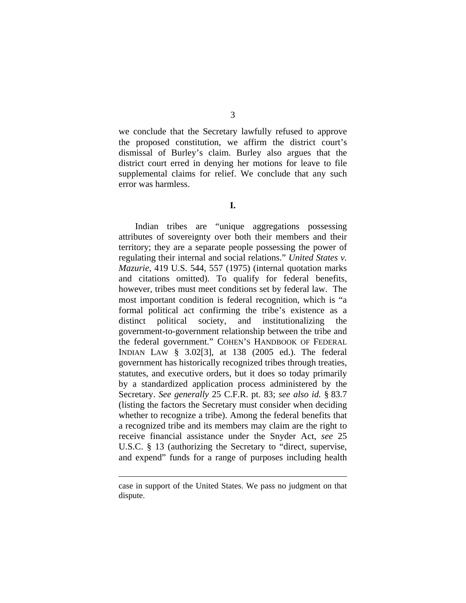we conclude that the Secretary lawfully refused to approve the proposed constitution, we affirm the district court's dismissal of Burley's claim. Burley also argues that the district court erred in denying her motions for leave to file supplemental claims for relief. We conclude that any such error was harmless.

**I.** 

Indian tribes are "unique aggregations possessing attributes of sovereignty over both their members and their territory; they are a separate people possessing the power of regulating their internal and social relations." *United States v. Mazurie*, 419 U.S. 544, 557 (1975) (internal quotation marks and citations omitted). To qualify for federal benefits, however, tribes must meet conditions set by federal law. The most important condition is federal recognition, which is "a formal political act confirming the tribe's existence as a distinct political society, and institutionalizing the government-to-government relationship between the tribe and the federal government." COHEN'S HANDBOOK OF FEDERAL INDIAN LAW § 3.02[3], at 138 (2005 ed.). The federal government has historically recognized tribes through treaties, statutes, and executive orders, but it does so today primarily by a standardized application process administered by the Secretary. *See generally* 25 C.F.R. pt. 83; *see also id.* § 83.7 (listing the factors the Secretary must consider when deciding whether to recognize a tribe). Among the federal benefits that a recognized tribe and its members may claim are the right to receive financial assistance under the Snyder Act, *see* 25 U.S.C. § 13 (authorizing the Secretary to "direct, supervise, and expend" funds for a range of purposes including health

case in support of the United States. We pass no judgment on that dispute.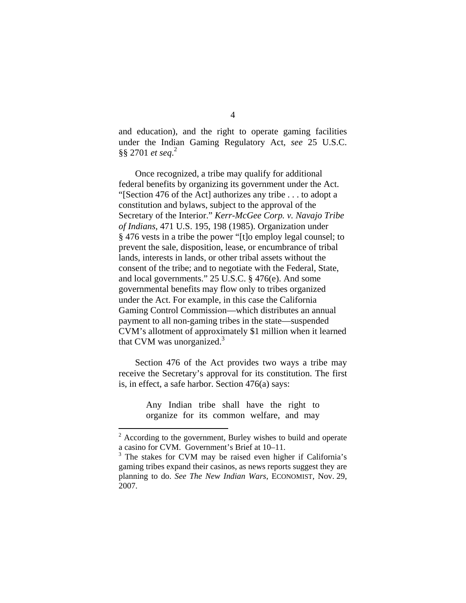and education), and the right to operate gaming facilities under the Indian Gaming Regulatory Act, *see* 25 U.S.C. §§ 2701 *et seq*. 2

Once recognized, a tribe may qualify for additional federal benefits by organizing its government under the Act. "[Section 476 of the Act] authorizes any tribe . . . to adopt a constitution and bylaws, subject to the approval of the Secretary of the Interior." *Kerr-McGee Corp. v. Navajo Tribe of Indians*, 471 U.S. 195, 198 (1985). Organization under § 476 vests in a tribe the power "[t]o employ legal counsel; to prevent the sale, disposition, lease, or encumbrance of tribal lands, interests in lands, or other tribal assets without the consent of the tribe; and to negotiate with the Federal, State, and local governments." 25 U.S.C. § 476(e). And some governmental benefits may flow only to tribes organized under the Act. For example, in this case the California Gaming Control Commission—which distributes an annual payment to all non-gaming tribes in the state—suspended CVM's allotment of approximately \$1 million when it learned that CVM was unorganized.<sup>3</sup>

Section 476 of the Act provides two ways a tribe may receive the Secretary's approval for its constitution. The first is, in effect, a safe harbor. Section 476(a) says:

> Any Indian tribe shall have the right to organize for its common welfare, and may

 $2^2$  According to the government, Burley wishes to build and operate a casino for CVM. Government's Brief at 10–11.

<sup>&</sup>lt;sup>3</sup> The stakes for CVM may be raised even higher if California's gaming tribes expand their casinos, as news reports suggest they are planning to do. *See The New Indian Wars*, ECONOMIST, Nov. 29, 2007.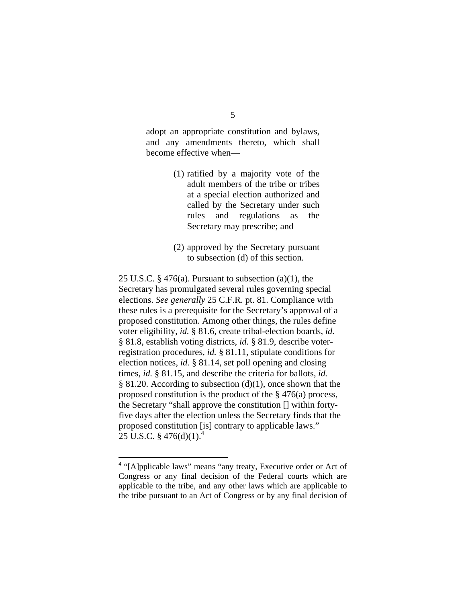adopt an appropriate constitution and bylaws, and any amendments thereto, which shall become effective when—

- (1) ratified by a majority vote of the adult members of the tribe or tribes at a special election authorized and called by the Secretary under such rules and regulations as the Secretary may prescribe; and
- (2) approved by the Secretary pursuant to subsection (d) of this section.

25 U.S.C.  $\S$  476(a). Pursuant to subsection (a)(1), the Secretary has promulgated several rules governing special elections. *See generally* 25 C.F.R. pt. 81. Compliance with these rules is a prerequisite for the Secretary's approval of a proposed constitution. Among other things, the rules define voter eligibility, *id.* § 81.6, create tribal-election boards, *id.* § 81.8, establish voting districts, *id.* § 81.9, describe voterregistration procedures, *id.* § 81.11, stipulate conditions for election notices, *id.* § 81.14, set poll opening and closing times, *id.* § 81.15, and describe the criteria for ballots, *id.*  $§ 81.20$ . According to subsection (d)(1), once shown that the proposed constitution is the product of the § 476(a) process, the Secretary "shall approve the constitution [] within fortyfive days after the election unless the Secretary finds that the proposed constitution [is] contrary to applicable laws." 25 U.S.C. § 476(d)(1).<sup>4</sup>

<u>.</u>

<sup>&</sup>lt;sup>4</sup> "[A]pplicable laws" means "any treaty, Executive order or Act of Congress or any final decision of the Federal courts which are applicable to the tribe, and any other laws which are applicable to the tribe pursuant to an Act of Congress or by any final decision of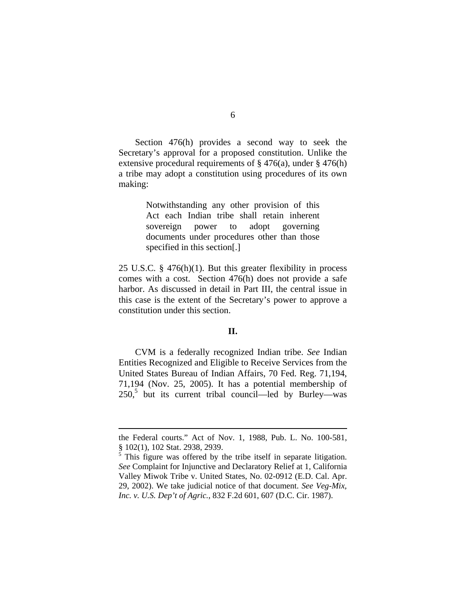Section 476(h) provides a second way to seek the Secretary's approval for a proposed constitution. Unlike the extensive procedural requirements of § 476(a), under § 476(h) a tribe may adopt a constitution using procedures of its own making:

> Notwithstanding any other provision of this Act each Indian tribe shall retain inherent sovereign power to adopt governing documents under procedures other than those specified in this section[.]

25 U.S.C. § 476(h)(1). But this greater flexibility in process comes with a cost. Section 476(h) does not provide a safe harbor. As discussed in detail in Part III, the central issue in this case is the extent of the Secretary's power to approve a constitution under this section.

## **II.**

CVM is a federally recognized Indian tribe. *See* Indian Entities Recognized and Eligible to Receive Services from the United States Bureau of Indian Affairs, 70 Fed. Reg. 71,194, 71,194 (Nov. 25, 2005). It has a potential membership of  $250$ , but its current tribal council—led by Burley—was

the Federal courts." Act of Nov. 1, 1988, Pub. L. No. 100-581, § 102(1), 102 Stat. 2938, 2939.

<sup>&</sup>lt;sup>5</sup> This figure was offered by the tribe itself in separate litigation. *See* Complaint for Injunctive and Declaratory Relief at 1, California Valley Miwok Tribe v. United States, No. 02-0912 (E.D. Cal. Apr. 29, 2002). We take judicial notice of that document. *See Veg-Mix, Inc. v. U.S. Dep't of Agric.*, 832 F.2d 601, 607 (D.C. Cir. 1987).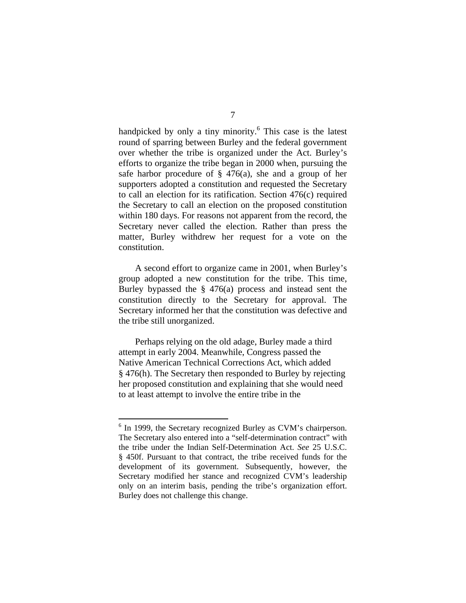handpicked by only a tiny minority.<sup>6</sup> This case is the latest round of sparring between Burley and the federal government over whether the tribe is organized under the Act. Burley's efforts to organize the tribe began in 2000 when, pursuing the safe harbor procedure of  $\S$  476(a), she and a group of her supporters adopted a constitution and requested the Secretary to call an election for its ratification. Section 476(c) required the Secretary to call an election on the proposed constitution within 180 days. For reasons not apparent from the record, the Secretary never called the election. Rather than press the matter, Burley withdrew her request for a vote on the constitution.

A second effort to organize came in 2001, when Burley's group adopted a new constitution for the tribe. This time, Burley bypassed the § 476(a) process and instead sent the constitution directly to the Secretary for approval. The Secretary informed her that the constitution was defective and the tribe still unorganized.

Perhaps relying on the old adage, Burley made a third attempt in early 2004. Meanwhile, Congress passed the Native American Technical Corrections Act, which added § 476(h). The Secretary then responded to Burley by rejecting her proposed constitution and explaining that she would need to at least attempt to involve the entire tribe in the

1

<sup>&</sup>lt;sup>6</sup> In 1999, the Secretary recognized Burley as CVM's chairperson. The Secretary also entered into a "self-determination contract" with the tribe under the Indian Self-Determination Act. *See* 25 U.S.C. § 450f. Pursuant to that contract, the tribe received funds for the development of its government. Subsequently, however, the Secretary modified her stance and recognized CVM's leadership only on an interim basis, pending the tribe's organization effort. Burley does not challenge this change.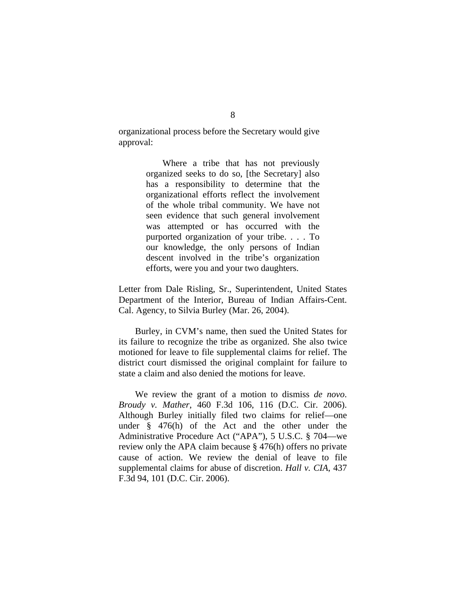organizational process before the Secretary would give approval:

> Where a tribe that has not previously organized seeks to do so, [the Secretary] also has a responsibility to determine that the organizational efforts reflect the involvement of the whole tribal community. We have not seen evidence that such general involvement was attempted or has occurred with the purported organization of your tribe. . . . To our knowledge, the only persons of Indian descent involved in the tribe's organization efforts, were you and your two daughters.

Letter from Dale Risling, Sr., Superintendent, United States Department of the Interior, Bureau of Indian Affairs-Cent. Cal. Agency, to Silvia Burley (Mar. 26, 2004).

Burley, in CVM's name, then sued the United States for its failure to recognize the tribe as organized. She also twice motioned for leave to file supplemental claims for relief. The district court dismissed the original complaint for failure to state a claim and also denied the motions for leave.

We review the grant of a motion to dismiss *de novo*. *Broudy v. Mather*, 460 F.3d 106, 116 (D.C. Cir. 2006). Although Burley initially filed two claims for relief—one under § 476(h) of the Act and the other under the Administrative Procedure Act ("APA"), 5 U.S.C. § 704—we review only the APA claim because § 476(h) offers no private cause of action. We review the denial of leave to file supplemental claims for abuse of discretion. *Hall v. CIA*, 437 F.3d 94, 101 (D.C. Cir. 2006).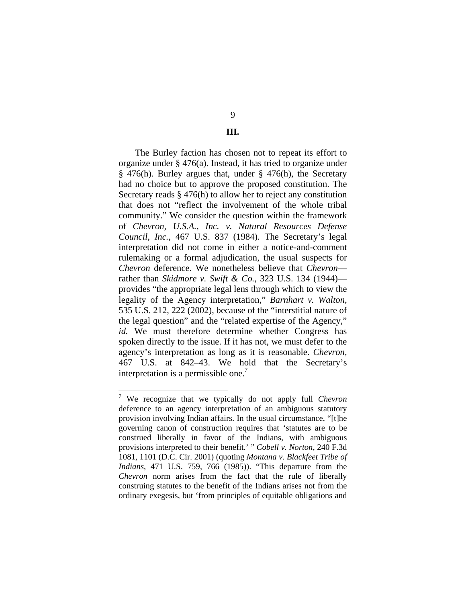## 9

## **III.**

The Burley faction has chosen not to repeat its effort to organize under § 476(a). Instead, it has tried to organize under § 476(h). Burley argues that, under § 476(h), the Secretary had no choice but to approve the proposed constitution. The Secretary reads § 476(h) to allow her to reject any constitution that does not "reflect the involvement of the whole tribal community." We consider the question within the framework of *Chevron, U.S.A., Inc. v. Natural Resources Defense Council, Inc.*, 467 U.S. 837 (1984). The Secretary's legal interpretation did not come in either a notice-and-comment rulemaking or a formal adjudication, the usual suspects for *Chevron* deference. We nonetheless believe that *Chevron* rather than *Skidmore v. Swift & Co.*, 323 U.S. 134 (1944) provides "the appropriate legal lens through which to view the legality of the Agency interpretation," *Barnhart v. Walton*, 535 U.S. 212, 222 (2002), because of the "interstitial nature of the legal question" and the "related expertise of the Agency," *id.* We must therefore determine whether Congress has spoken directly to the issue. If it has not, we must defer to the agency's interpretation as long as it is reasonable. *Chevron,*  467 U.S. at 842–43. We hold that the Secretary's interpretation is a permissible one.<sup>7</sup>

 7 We recognize that we typically do not apply full *Chevron* deference to an agency interpretation of an ambiguous statutory provision involving Indian affairs. In the usual circumstance, "[t]he governing canon of construction requires that 'statutes are to be construed liberally in favor of the Indians, with ambiguous provisions interpreted to their benefit.' " *Cobell v. Norton*, 240 F.3d 1081, 1101 (D.C. Cir. 2001) (quoting *Montana v. Blackfeet Tribe of Indians*, 471 U.S. 759, 766 (1985)). "This departure from the *Chevron* norm arises from the fact that the rule of liberally construing statutes to the benefit of the Indians arises not from the ordinary exegesis, but 'from principles of equitable obligations and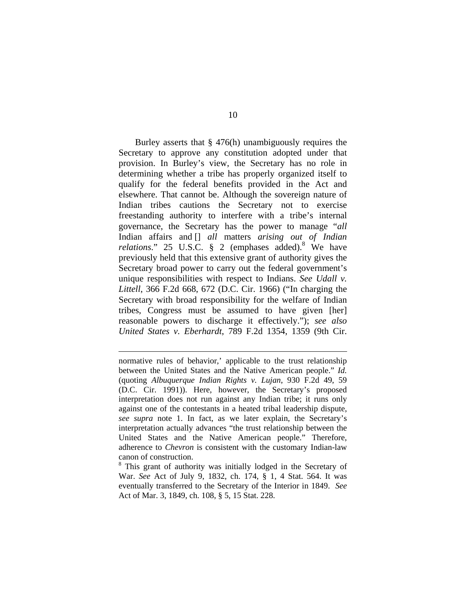Burley asserts that  $\S$  476(h) unambiguously requires the Secretary to approve any constitution adopted under that provision. In Burley's view, the Secretary has no role in determining whether a tribe has properly organized itself to qualify for the federal benefits provided in the Act and elsewhere. That cannot be. Although the sovereign nature of Indian tribes cautions the Secretary not to exercise freestanding authority to interfere with a tribe's internal governance, the Secretary has the power to manage "*all* Indian affairs and [] *all* matters *arising out of Indian*  relations." 25 U.S.C. § 2 (emphases added).<sup>8</sup> We have previously held that this extensive grant of authority gives the Secretary broad power to carry out the federal government's unique responsibilities with respect to Indians. *See Udall v. Littell*, 366 F.2d 668, 672 (D.C. Cir. 1966) ("In charging the Secretary with broad responsibility for the welfare of Indian tribes, Congress must be assumed to have given [her] reasonable powers to discharge it effectively."); *see also United States v. Eberhardt*, 789 F.2d 1354, 1359 (9th Cir.

normative rules of behavior,' applicable to the trust relationship between the United States and the Native American people." *Id.* (quoting *Albuquerque Indian Rights v. Lujan*, 930 F.2d 49, 59 (D.C. Cir. 1991)). Here, however, the Secretary's proposed interpretation does not run against any Indian tribe; it runs only against one of the contestants in a heated tribal leadership dispute, *see supra* note 1. In fact, as we later explain, the Secretary's interpretation actually advances "the trust relationship between the United States and the Native American people." Therefore, adherence to *Chevron* is consistent with the customary Indian-law canon of construction.

1

<sup>8</sup> This grant of authority was initially lodged in the Secretary of War. *See* Act of July 9, 1832, ch. 174, § 1, 4 Stat. 564. It was eventually transferred to the Secretary of the Interior in 1849. *See* Act of Mar. 3, 1849, ch. 108, § 5, 15 Stat. 228.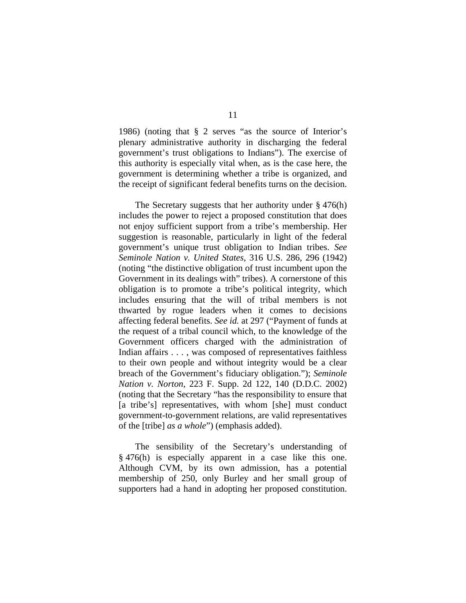1986) (noting that § 2 serves "as the source of Interior's plenary administrative authority in discharging the federal government's trust obligations to Indians"). The exercise of this authority is especially vital when, as is the case here, the government is determining whether a tribe is organized, and the receipt of significant federal benefits turns on the decision.

The Secretary suggests that her authority under § 476(h) includes the power to reject a proposed constitution that does not enjoy sufficient support from a tribe's membership. Her suggestion is reasonable, particularly in light of the federal government's unique trust obligation to Indian tribes. *See Seminole Nation v. United States*, 316 U.S. 286, 296 (1942) (noting "the distinctive obligation of trust incumbent upon the Government in its dealings with" tribes). A cornerstone of this obligation is to promote a tribe's political integrity, which includes ensuring that the will of tribal members is not thwarted by rogue leaders when it comes to decisions affecting federal benefits. *See id.* at 297 ("Payment of funds at the request of a tribal council which, to the knowledge of the Government officers charged with the administration of Indian affairs . . . , was composed of representatives faithless to their own people and without integrity would be a clear breach of the Government's fiduciary obligation."); *Seminole Nation v. Norton*, 223 F. Supp. 2d 122, 140 (D.D.C. 2002) (noting that the Secretary "has the responsibility to ensure that [a tribe's] representatives, with whom [she] must conduct government-to-government relations, are valid representatives of the [tribe] *as a whole*") (emphasis added).

The sensibility of the Secretary's understanding of § 476(h) is especially apparent in a case like this one. Although CVM, by its own admission, has a potential membership of 250, only Burley and her small group of supporters had a hand in adopting her proposed constitution.